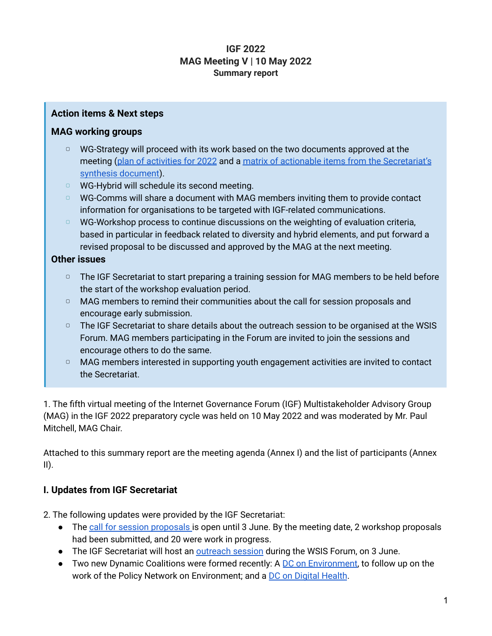## **IGF 2022 MAG Meeting V | 10 May 2022 Summary report**

#### **Action items & Next steps**

### **MAG working groups**

- ▢ WG-Strategy will proceed with its work based on the two documents approved at the meeting (plan of [activities](https://docs.google.com/document/d/1s-khQif9lUwCblMDTE6LUHOnpbvw42po/edit) for 2022 and a matrix of actionable items from the [Secretariat's](https://docs.google.com/document/d/1waEHJ8zpRijJQR-qNXEIITZn3t57q0hP723XiiDzsYU/edit) synthesis [document](https://docs.google.com/document/d/1waEHJ8zpRijJQR-qNXEIITZn3t57q0hP723XiiDzsYU/edit)).
- ▢ WG-Hybrid will schedule its second meeting.
- ▢ WG-Comms will share a document with MAG members inviting them to provide contact information for organisations to be targeted with IGF-related communications.
- ▢ WG-Workshop process to continue discussions on the weighting of evaluation criteria, based in particular in feedback related to diversity and hybrid elements, and put forward a revised proposal to be discussed and approved by the MAG at the next meeting.

### **Other issues**

- □ The IGF Secretariat to start preparing a training session for MAG members to be held before the start of the workshop evaluation period.
- □ MAG members to remind their communities about the call for session proposals and encourage early submission.
- □ The IGF Secretariat to share details about the outreach session to be organised at the WSIS Forum. MAG members participating in the Forum are invited to join the sessions and encourage others to do the same.
- □ MAG members interested in supporting youth engagement activities are invited to contact the Secretariat.

1. The fifth virtual meeting of the Internet Governance Forum (IGF) Multistakeholder Advisory Group (MAG) in the IGF 2022 preparatory cycle was held on 10 May 2022 and was moderated by Mr. Paul Mitchell, MAG Chair.

Attached to this summary report are the meeting agenda (Annex I) and the list of participants (Annex  $\mathbf{II}$ ).

### **I. Updates from IGF Secretariat**

2. The following updates were provided by the IGF Secretariat:

- The call for session [proposals](https://www.intgovforum.org/en/content/igf%C2%A02022-call-for-session-proposals) is open until 3 June. By the meeting date, 2 workshop proposals had been submitted, and 20 were work in progress.
- The IGF Secretariat will host an **[outreach](https://www.intgovforum.org/en/content/igf-2022-workshop-at-wsis) session** during the WSIS Forum, on 3 June.
- Two new Dynamic Coalitions were formed recently: A DC on [Environment](https://www.intgovforum.org/en/content/dynamic-coalition-on-environment-dce), to follow up on the work of the Policy Network on Environment; and a DC on Digital [Health](https://www.intgovforum.org/en/content/dynamic-coalition-on-digital-health).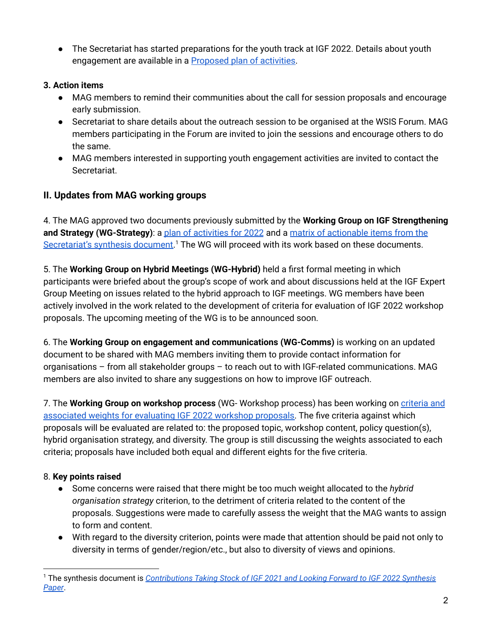● The Secretariat has started preparations for the youth track at IGF 2022. Details about youth engagement are available in a [Proposed](https://www.intgovforum.org/en/filedepot_download/249/21296) plan of activities.

### **3. Action items**

- MAG members to remind their communities about the call for session proposals and encourage early submission.
- Secretariat to share details about the outreach session to be organised at the WSIS Forum. MAG members participating in the Forum are invited to join the sessions and encourage others to do the same.
- MAG members interested in supporting youth engagement activities are invited to contact the Secretariat.

## **II. Updates from MAG working groups**

4. The MAG approved two documents previously submitted by the **Working Group on IGF Strengthening and Strategy (WG-Strategy)**: a plan of [activities](https://docs.google.com/document/d/1s-khQif9lUwCblMDTE6LUHOnpbvw42po/edit) for 2022 and a matrix of [actionable](https://docs.google.com/document/d/1waEHJ8zpRijJQR-qNXEIITZn3t57q0hP723XiiDzsYU/edit) items from the [Secretariat's](https://docs.google.com/document/d/1waEHJ8zpRijJQR-qNXEIITZn3t57q0hP723XiiDzsYU/edit) synthesis document.<sup>1</sup> The WG will proceed with its work based on these documents.

5. The **Working Group on Hybrid Meetings (WG-Hybrid)** held a first formal meeting in which participants were briefed about the group's scope of work and about discussions held at the IGF Expert Group Meeting on issues related to the hybrid approach to IGF meetings. WG members have been actively involved in the work related to the development of criteria for evaluation of IGF 2022 workshop proposals. The upcoming meeting of the WG is to be announced soon.

6. The **Working Group on engagement and communications (WG-Comms)** is working on an updated document to be shared with MAG members inviting them to provide contact information for organisations – from all stakeholder groups – to reach out to with IGF-related communications. MAG members are also invited to share any suggestions on how to improve IGF outreach.

7. The **Working Group on workshop process** (WG- Workshop process) has been working on [criteria](https://docs.google.com/document/d/1G2ItU5o6PkxsXE9A5sWQ3qLq5f4DkvFxY3tH4QTN3Qs/edit) and [associated](https://docs.google.com/document/d/1G2ItU5o6PkxsXE9A5sWQ3qLq5f4DkvFxY3tH4QTN3Qs/edit) weights for evaluating IGF 2022 workshop proposals. The five criteria against which proposals will be evaluated are related to: the proposed topic, workshop content, policy question(s), hybrid organisation strategy, and diversity. The group is still discussing the weights associated to each criteria; proposals have included both equal and different eights for the five criteria.

## 8. **Key points raised**

- Some concerns were raised that there might be too much weight allocated to the *hybrid organisation strategy* criterion, to the detriment of criteria related to the content of the proposals. Suggestions were made to carefully assess the weight that the MAG wants to assign to form and content.
- With regard to the diversity criterion, points were made that attention should be paid not only to diversity in terms of gender/region/etc., but also to diversity of views and opinions.

<sup>1</sup> The synthesis document is *[Contributions](https://www.intgovforum.org/en/filedepot_download/249/20746) Taking Stock of IGF 2021 and Looking Forward to IGF 2022 Synthesis [Paper](https://www.intgovforum.org/en/filedepot_download/249/20746)*.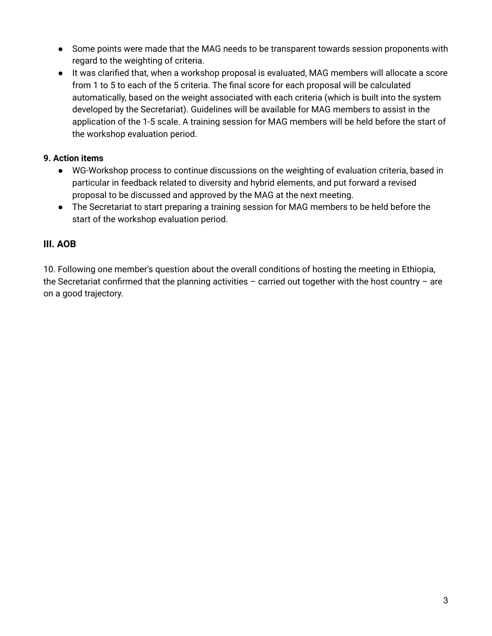- Some points were made that the MAG needs to be transparent towards session proponents with regard to the weighting of criteria.
- It was clarified that, when a workshop proposal is evaluated, MAG members will allocate a score from 1 to 5 to each of the 5 criteria. The final score for each proposal will be calculated automatically, based on the weight associated with each criteria (which is built into the system developed by the Secretariat). Guidelines will be available for MAG members to assist in the application of the 1-5 scale. A training session for MAG members will be held before the start of the workshop evaluation period.

### **9. Action items**

- WG-Workshop process to continue discussions on the weighting of evaluation criteria, based in particular in feedback related to diversity and hybrid elements, and put forward a revised proposal to be discussed and approved by the MAG at the next meeting.
- The Secretariat to start preparing a training session for MAG members to be held before the start of the workshop evaluation period.

## **III. AOB**

10. Following one member's question about the overall conditions of hosting the meeting in Ethiopia, the Secretariat confirmed that the planning activities – carried out together with the host country – are on a good trajectory.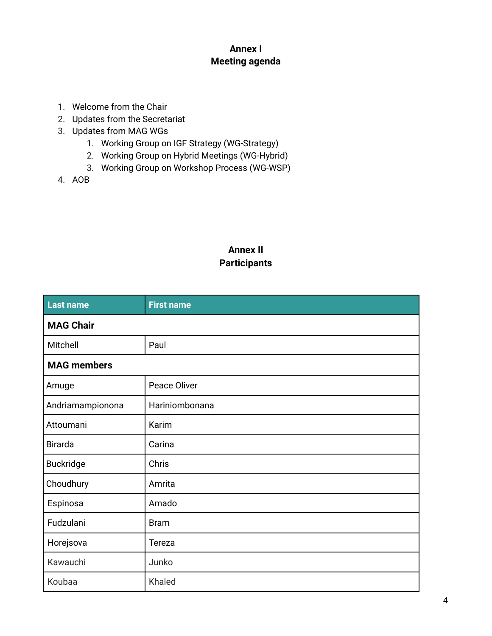## **Annex I Meeting agenda**

- 1. Welcome from the Chair
- 2. Updates from the Secretariat
- 3. Updates from MAG WGs
	- 1. Working Group on IGF Strategy (WG-Strategy)
	- 2. Working Group on Hybrid Meetings (WG-Hybrid)
	- 3. Working Group on Workshop Process (WG-WSP)
- 4. AOB

# **Annex II Participants**

| Last name          | <b>First name</b> |  |
|--------------------|-------------------|--|
| <b>MAG Chair</b>   |                   |  |
| Mitchell           | Paul              |  |
| <b>MAG members</b> |                   |  |
| Amuge              | Peace Oliver      |  |
| Andriamampionona   | Hariniombonana    |  |
| Attoumani          | Karim             |  |
| <b>Birarda</b>     | Carina            |  |
| <b>Buckridge</b>   | Chris             |  |
| Choudhury          | Amrita            |  |
| Espinosa           | Amado             |  |
| Fudzulani          | <b>Bram</b>       |  |
| Horejsova          | Tereza            |  |
| Kawauchi           | Junko             |  |
| Koubaa             | Khaled            |  |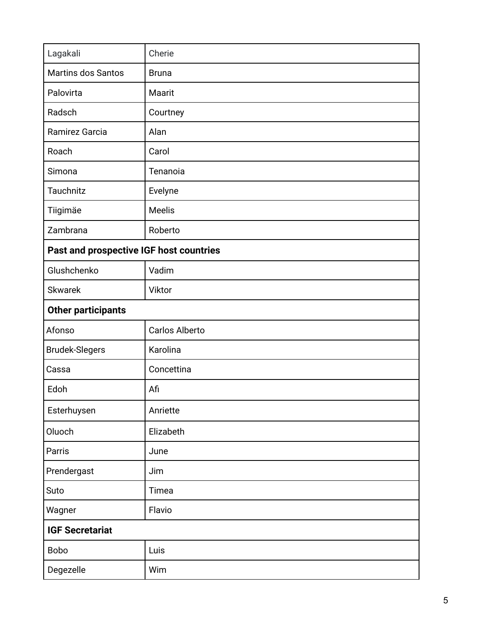| Lagakali                                | Cherie         |  |
|-----------------------------------------|----------------|--|
| <b>Martins dos Santos</b>               | <b>Bruna</b>   |  |
| Palovirta                               | Maarit         |  |
| Radsch                                  | Courtney       |  |
| Ramirez Garcia                          | Alan           |  |
| Roach                                   | Carol          |  |
| Simona                                  | Tenanoia       |  |
| Tauchnitz                               | Evelyne        |  |
| Tiigimäe                                | Meelis         |  |
| Zambrana                                | Roberto        |  |
| Past and prospective IGF host countries |                |  |
| Glushchenko                             | Vadim          |  |
| <b>Skwarek</b>                          | Viktor         |  |
| <b>Other participants</b>               |                |  |
| Afonso                                  | Carlos Alberto |  |
| <b>Brudek-Slegers</b>                   | Karolina       |  |
| Cassa                                   | Concettina     |  |
| Edoh                                    | Afi            |  |
| Esterhuysen                             | Anriette       |  |
| Oluoch                                  | Elizabeth      |  |
| Parris                                  | June           |  |
| Prendergast                             | Jim            |  |
| Suto                                    | Timea          |  |
| Wagner                                  | Flavio         |  |
| <b>IGF Secretariat</b>                  |                |  |
| <b>Bobo</b>                             | Luis           |  |
| Degezelle                               | Wim            |  |